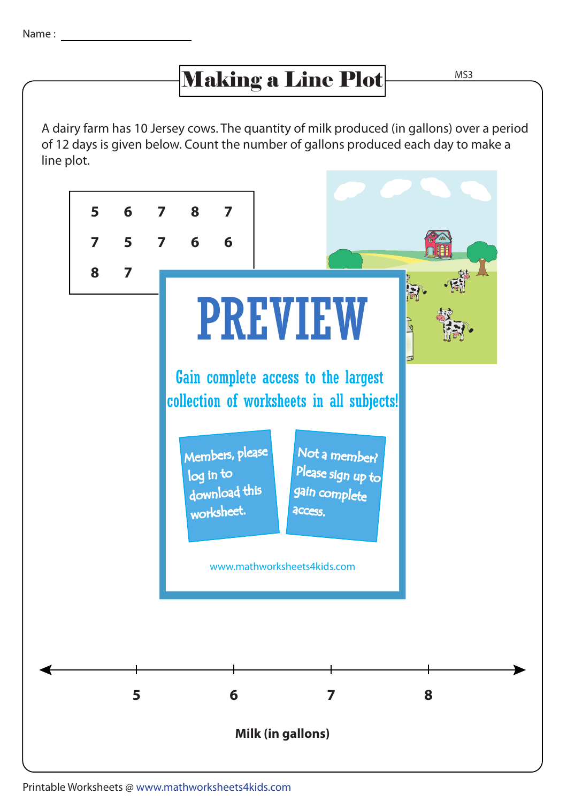## Making a Line Plot MS3

A dairy farm has 10 Jersey cows. The quantity of milk produced (in gallons) over a period of 12 days is given below. Count the number of gallons produced each day to make a line plot.



Printable Worksheets @ www.mathworksheets4kids.com